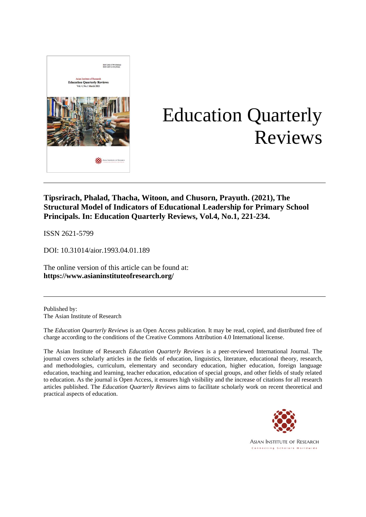

# Education Quarterly Reviews

# **Tipsrirach, Phalad, Thacha, Witoon, and Chusorn, Prayuth. (2021), The Structural Model of Indicators of Educational Leadership for Primary School Principals. In: Education Quarterly Reviews, Vol.4, No.1, 221-234.**

ISSN 2621-5799

DOI: 10.31014/aior.1993.04.01.189

The online version of this article can be found at: **[https://www.](about:blank)asianinstituteofresearch.org/**

Published by: The Asian Institute of Research

The *Education Quarterly Reviews* is an Open Access publication. It may be read, copied, and distributed free of charge according to the conditions of the Creative Commons Attribution 4.0 International license.

The Asian Institute of Research *Education Quarterly Reviews* is a peer-reviewed International Journal. The journal covers scholarly articles in the fields of education, linguistics, literature, educational theory, research, and methodologies, curriculum, elementary and secondary education, higher education, foreign language education, teaching and learning, teacher education, education of special groups, and other fields of study related to education. As the journal is Open Access, it ensures high visibility and the increase of citations for all research articles published. The *Education Quarterly Reviews* aims to facilitate scholarly work on recent theoretical and practical aspects of education.



**ASIAN INSTITUTE OF RESEARCH** Connecting Scholars Worldwide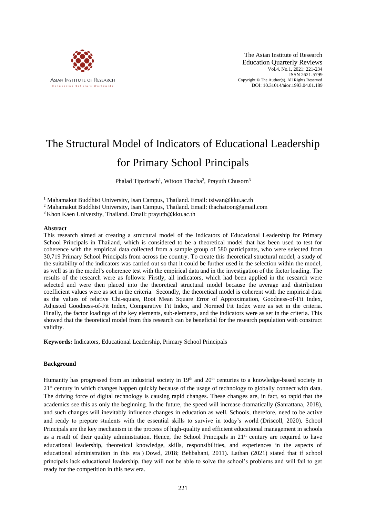

The Asian Institute of Research Education Quarterly Reviews Vol.4, No.1, 2021: 221-234 ISSN 2621-5799 Copyright © The Author(s). All Rights Reserved DOI: 10.31014/aior.1993.04.01.189

# The Structural Model of Indicators of Educational Leadership for Primary School Principals

Phalad Tipsrirach<sup>1</sup>, Witoon Thacha<sup>2</sup>, Prayuth Chusorn<sup>3</sup>

<sup>1</sup> Mahamakut Buddhist University, Isan Campus, Thailand. Email: tsiwan@kku.ac.th

<sup>2</sup> Mahamakut Buddhist University, Isan Campus, Thailand. Email: thachatoon@gmail.com

<sup>3</sup> Khon Kaen University, Thailand. Email: prayuth@kku.ac.th

#### **Abstract**

This research aimed at creating a structural model of the indicators of Educational Leadership for Primary School Principals in Thailand, which is considered to be a theoretical model that has been used to test for coherence with the empirical data collected from a sample group of 580 participants, who were selected from 30,719 Primary School Principals from across the country. To create this theoretical structural model, a study of the suitability of the indicators was carried out so that it could be further used in the selection within the model, as well as in the model's coherence test with the empirical data and in the investigation of the factor loading. The results of the research were as follows: Firstly, all indicators, which had been applied in the research were selected and were then placed into the theoretical structural model because the average and distribution coefficient values were as set in the criteria. Secondly, the theoretical model is coherent with the empirical data as the values of relative Chi-square, Root Mean Square Error of Approximation, Goodness-of-Fit Index, Adjusted Goodness-of-Fit Index, Comparative Fit Index, and Normed Fit Index were as set in the criteria. Finally, the factor loadings of the key elements, sub-elements, and the indicators were as set in the criteria. This showed that the theoretical model from this research can be beneficial for the research population with construct validity.

**Keywords:** Indicators, Educational Leadership, Primary School Principals

#### **Background**

Humanity has progressed from an industrial society in 19<sup>th</sup> and 20<sup>th</sup> centuries to a knowledge-based society in  $21<sup>st</sup>$  century in which changes happen quickly because of the usage of technology to globally connect with data. The driving force of digital technology is causing rapid changes. These changes are, in fact, so rapid that the academics see this as only the beginning. In the future, the speed will increase dramatically (Sanrattana, 2018), and such changes will inevitably influence changes in education as well. Schools, therefore, need to be active and ready to prepare students with the essential skills to survive in today's world (Driscoll, 2020). School Principals are the key mechanism in the process of high-quality and efficient educational management in schools as a result of their quality administration. Hence, the School Principals in  $21<sup>st</sup>$  century are required to have educational leadership, theoretical knowledge, skills, responsibilities, and experiences in the aspects of educational administration in this era ( Dowd, 2018; [Behbahani,](https://www.sciencedirect.com/science/article/pii/S1877042811002199#!) 2011). Lathan (2021) stated that if school principals lack educational leadership, they will not be able to solve the school's problems and will fail to get ready for the competition in this new era.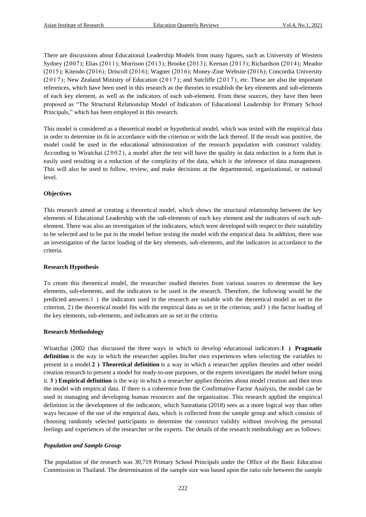There are discussions about Educational Leadership Models from many figures, such as University of Western Sydney (2007); Elias (2011); Morrison (2013); Brooke (2013); Keenan (2013); Richardson (2014); Meador (2015); Kitendo (2016); Driscoll (2016); Wagner (2016); Money-Zine Website (2016); Concordia University  $(2017)$ ; New Zealand Ministry of Education  $(2017)$ ; and Sutcliffe  $(2017)$ , etc. These are also the important references, which have been used in this research as the theories to establish the key elements and sub-elements of each key element, as well as the indicators of each sub-element. From these sources, they have then been proposed as "The Structural Relationship Model of Indicators of Educational Leadership for Primary School Principals," which has been employed in this research.

This model is considered as a theoretical model or hypothetical model, which was tested with the empirical data in order to determine its fit in accordance with the criterion or with the lack thereof. If the result was positive, the model could be used in the educational administration of the research population with construct validity. According to Wiratchai  $(2002)$ , a model after the test will have the quality in data reduction in a form that is easily used resulting in a reduction of the complicity of the data, which is the inference of data management. This will also be used to follow, review, and make decisions at the departmental, organizational, or national level.

#### **Objectives**

This research aimed at creating a theoretical model, which shows the structural relationship between the key elements of Educational Leadership with the sub-elements of each key element and the indicators of each subelement. There was also an investigation of the indicators, which were developed with respect to their suitability to be selected and to be put in the model before testing the model with the empirical data. In addition, there was an investigation of the factor loading of the key elements, sub-elements, and the indicators in accordance to the criteria.

#### **Research Hypothesis**

To create this theoretical model, the researcher studied theories from various sources to determine the key elements, sub-elements, and the indicators to be used in the research. Therefore, the following would be the predicted answers:1) the indicators used in the research are suitable with the theoretical model as set in the criterion, 2) the theoretical model fits with the empirical data as set in the criterion, and  $3$ ) the factor loading of the key elements, sub-elements, and indicators are as set in the criteria.

#### **Research Methodology**

Wiratchai (2002 (has discussed the three ways in which to develop educational indicators:1 ) Pragmatic **definition** is the way in which the researcher applies his/her own experiences when selecting the variables to present in a model.**2 ) Theoretical definition** is a way in which a researcher applies theories and other model creation research to present a model for ready-to-use purposes, or the experts investigates the model before using it. **3 ) Empirical definition** is the way in which a researcher applies theories about model creation and then tests the model with empirical data. If there is a coherence from the Confirmative Factor Analysis, the model can be used in managing and developing human resources and the organization. This research applied the empirical definition in the development of the indicators, which Sanrattana (2018) sees as a more logical way than other ways because of the use of the empirical data, which is collected from the sample group and which consists of choosing randomly selected participants to determine the construct validity without involving the personal feelings and experiences of the researcher or the experts. The details of the research methodology are as follows:

#### *Population and Sample Group*

The population of the research was 30,719 Primary School Principals under the Office of the Basic Education Commission in Thailand. The determination of the sample size was based upon the ratio rule between the sample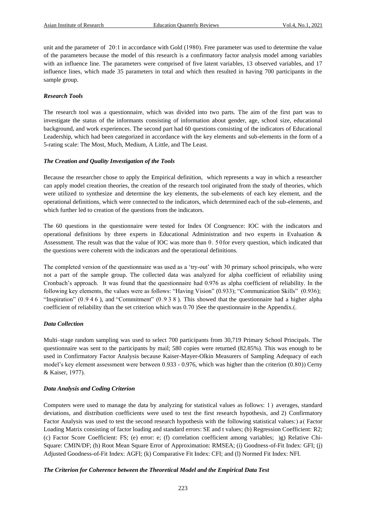unit and the parameter of  $20:1$  in accordance with Gold (1980). Free parameter was used to determine the value of the parameters because the model of this research is a confirmatory factor analysis model among variables with an influence line. The parameters were comprised of five latent variables, 13 observed variables, and 17 influence lines, which made 35 parameters in total and which then resulted in having 700 participants in the sample group.

#### *Research Tools*

The research tool was a questionnaire, which was divided into two parts. The aim of the first part was to investigate the status of the informants consisting of information about gender, age, school size, educational background, and work experiences. The second part had 60 questions consisting of the indicators of Educational Leadership, which had been categorized in accordance with the key elements and sub-elements in the form of a 5-rating scale: The Most, Much, Medium, A Little, and The Least.

#### *The Creation and Quality Investigation of the Tools*

Because the researcher chose to apply the Empirical definition, which represents a way in which a researcher can apply model creation theories, the creation of the research tool originated from the study of theories, which were utilized to synthesize and determine the key elements, the sub-elements of each key element, and the operational definitions, which were connected to the indicators, which determined each of the sub-elements, and which further led to creation of the questions from the indicators.

The 60 questions in the questionnaire were tested for Index Of Congruence: IOC with the indicators and operational definitions by three experts in Educational Administration and two experts in Evaluation & Assessment. The result was that the value of IOC was more than 0. 5 0for every question, which indicated that the questions were coherent with the indicators and the operational definitions.

The completed version of the questionnaire was used as a 'try-out' with 30 primary school principals, who were not a part of the sample group. The collected data was analyzed for alpha coefficient of reliability using Cronbach's approach. It was found that the questionnaire had 0.976 as alpha coefficient of reliability. In the following key elements, the values were as follows: "Having Vision" (0.933); "Communication Skills" (0.936); "Inspiration" (0 .9 4 6 ), and "Commitment" (0 .9 3 8 ). This showed that the questionnaire had a higher alpha coefficient of reliability than the set criterion which was 0.70 (See the questionnaire in the Appendix.(.

#### *Data Collection*

Multi–stage random sampling was used to select 700 participants from 30,719 Primary School Principals. The questionnaire was sent to the participants by mail; 580 copies were returned (82.85%). This was enough to be used in Confirmatory Factor Analysis because Kaiser-Mayer-Olkin Measurers of Sampling Adequacy of each model's key element assessment were between 0.933 - 0.976, which was higher than the criterion (0.80)) Cerny & Kaiser, 1977).

#### *Data Analysis and Coding Criterion*

Computers were used to manage the data by analyzing for statistical values as follows: 1) averages, standard deviations, and distribution coefficients were used to test the first research hypothesis, and 2) Confirmatory Factor Analysis was used to test the second research hypothesis with the following statistical values:) a (Factor Loading Matrix consisting of factor loading and standard errors: SE and t values; (b) Regression Coefficient: R2; (c) Factor Score Coefficient: FS; (e) error: e; (f) correlation coefficient among variables; (g) Relative Chi-Square: CMIN/DF; (h) Root Mean Square Error of Approximation: RMSEA; (i) Goodness-of-Fit Index: GFI; (j) Adjusted Goodness-of-Fit Index: AGFI; (k) Comparative Fit Index: CFI; and (l) Normed Fit Index: NFI.

#### *The Criterion for Coherence between the Theoretical Model and the Empirical Data Test*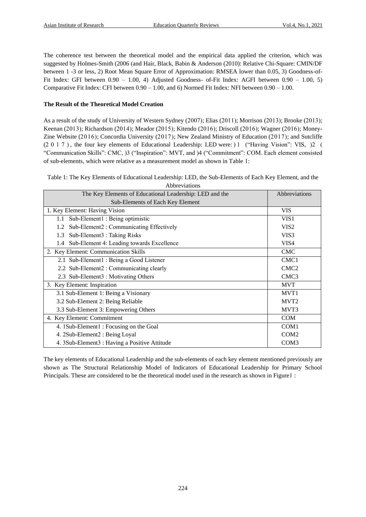The coherence test between the theoretical model and the empirical data applied the criterion, which was suggested by Holmes-Smith (2006 (and Hair, Black, Babin & Anderson (2010): Relative Chi-Square: CMIN/DF between 1 -3 or less, 2) Root Mean Square Error of Approximation: RMSEA lower than 0.05, 3) Goodness-of-Fit Index: GFI between 0.90 – 1.00, 4) Adjusted Goodness- of-Fit Index: AGFI between 0.90 – 1.00, 5) Comparative Fit Index: CFI between  $0.90 - 1.00$ , and 6) Normed Fit Index: NFI between  $0.90 - 1.00$ .

#### **The Result of the Theoretical Model Creation**

As a result of the study of University of Western Sydney (2007); Elias (2011); Morrison (2013); Brooke (2013); Keenan (2013); Richardson (2014); Meador (2015); Kitendo (2016); Driscoll (2016); Wagner (2016); Money-Zine Website  $(2016)$ ; Concordia University  $(2017)$ ; New Zealand Ministry of Education  $(2017)$ ; and Sutcliffe  $(2\ 0\ 1\ 7)$ , the four key elements of Educational Leadership: LED were: (1) ("Having Vision": VIS, (2) ( "Communication Skills": CMC,  $3$  ("Inspiration": MVT, and  $4$  ("Commitment": COM. Each element consisted of sub-elements, which were relative as a measurement model as shown in Table 1:

Table 1: The Key Elements of Educational Leadership: LED, the Sub-Elements of Each Key Element, and the Abbreviations

| The Key Elements of Educational Leadership: LED and the | Abbreviations    |
|---------------------------------------------------------|------------------|
| Sub-Elements of Each Key Element                        |                  |
| 1. Key Element: Having Vision                           | <b>VIS</b>       |
| Sub-Element1 : Being optimistic<br>1.1                  | VIS1             |
| Sub-Element2 : Communicating Effectively<br>1.2         | VIS <sub>2</sub> |
| Sub-Element3 : Taking Risks<br>1.3                      | VIS <sub>3</sub> |
| Sub-Element 4: Leading towards Excellence<br>1.4        | VIS4             |
| 2. Key Element: Communication Skills                    | <b>CMC</b>       |
| 2.1 Sub-Element1 : Being a Good Listener                | CMC <sub>1</sub> |
| 2.2 Sub-Element2 : Communicating clearly                | CMC2             |
| 2.3 Sub-Element3 : Motivating Others                    | CMC <sub>3</sub> |
| 3. Key Element: Inspiration                             | <b>MVT</b>       |
| 3.1 Sub-Element 1: Being a Visionary                    | MVT <sub>1</sub> |
| 3.2 Sub-Element 2: Being Reliable                       | MVT <sub>2</sub> |
| 3.3 Sub-Element 3: Empowering Others                    | MVT3             |
| 4. Key Element: Commitment                              | <b>COM</b>       |
| 4. 1Sub-Element1: Focusing on the Goal                  | COM1             |
| 4. 2Sub-Element2 : Being Loyal                          | COM <sub>2</sub> |
| 4. 3Sub-Element3 : Having a Positive Attitude           | COM <sub>3</sub> |

The key elements of Educational Leadership and the sub-elements of each key element mentioned previously are shown as The Structural Relationship Model of Indicators of Educational Leadership for Primary School Principals. These are considered to be the theoretical model used in the research as shown in Figure1 :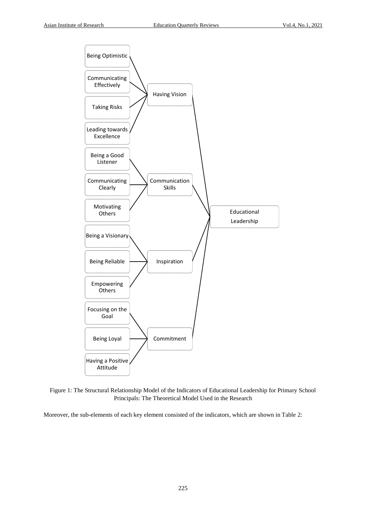

Figure 1: The Structural Relationship Model of the Indicators of Educational Leadership for Primary School Principals: The Theoretical Model Used in the Research

Moreover, the sub-elements of each key element consisted of the indicators, which are shown in Table 2: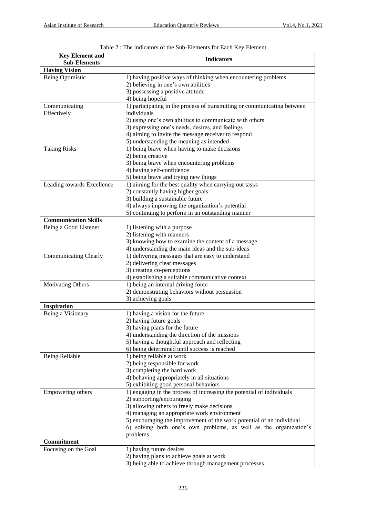| <b>Key Element and</b>       | <b>Indicators</b>                                                                                           |
|------------------------------|-------------------------------------------------------------------------------------------------------------|
| <b>Sub-Elements</b>          |                                                                                                             |
| <b>Having Vision</b>         |                                                                                                             |
| Being Optimistic             | 1) having positive ways of thinking when encountering problems                                              |
|                              | 2) believing in one's own abilities                                                                         |
|                              | 3) possessing a positive attitude                                                                           |
|                              | 4) being hopeful                                                                                            |
| Communicating                | 1) participating in the process of transmitting or communicating between                                    |
| Effectively                  | individuals                                                                                                 |
|                              | 2) using one's own abilities to communicate with others<br>3) expressing one's needs, desires, and feelings |
|                              | 4) aiming to invite the message receiver to respond                                                         |
|                              | 5) understanding the meaning as intended                                                                    |
| <b>Taking Risks</b>          | 1) being brave when having to make decisions                                                                |
|                              | 2) being creative                                                                                           |
|                              | 3) being brave when encountering problems                                                                   |
|                              | 4) having self-confidence                                                                                   |
|                              | 5) being brave and trying new things                                                                        |
| Leading towards Excellence   | 1) aiming for the best quality when carrying out tasks                                                      |
|                              | 2) constantly having higher goals                                                                           |
|                              | 3) building a sustainable future                                                                            |
|                              | 4) always improving the organization's potential                                                            |
|                              | 5) continuing to perform in an outstanding manner                                                           |
| <b>Communication Skills</b>  |                                                                                                             |
| Being a Good Listener        | 1) listening with a purpose                                                                                 |
|                              | 2) listening with manners                                                                                   |
|                              | 3) knowing how to examine the content of a message                                                          |
|                              | 4) understanding the main ideas and the sub-ideas                                                           |
| <b>Communicating Clearly</b> | 1) delivering messages that are easy to understand                                                          |
|                              | 2) delivering clear messages                                                                                |
|                              | 3) creating co-perceptions                                                                                  |
|                              | 4) establishing a suitable communicative context                                                            |
| <b>Motivating Others</b>     | 1) being an internal driving force                                                                          |
|                              | 2) demonstrating behaviors without persuasion                                                               |
|                              | 3) achieving goals                                                                                          |
| Inspiration                  |                                                                                                             |
| Being a Visionary            | 1) having a vision for the future                                                                           |
|                              | 2) having future goals                                                                                      |
|                              | 3) having plans for the future                                                                              |
|                              | 4) understanding the direction of the missions                                                              |
|                              | 5) having a thoughtful approach and reflecting                                                              |
|                              | 6) being determined until success is reached                                                                |
| <b>Being Reliable</b>        | 1) being reliable at work                                                                                   |
|                              | 2) being responsible for work                                                                               |
|                              | 3) completing the hard work                                                                                 |
|                              | 4) behaving appropriately in all situations                                                                 |
|                              | 5) exhibiting good personal behaviors                                                                       |
| Empowering others            | 1) engaging in the process of increasing the potential of individuals<br>2) supporting/encouraging          |
|                              | 3) allowing others to freely make decisions                                                                 |
|                              | 4) managing an appropriate work environment                                                                 |
|                              | 5) encouraging the improvement of the work potential of an individual                                       |
|                              | 6) solving both one's own problems, as well as the organization's                                           |
|                              | problems                                                                                                    |
| Commitment                   |                                                                                                             |
| Focusing on the Goal         | 1) having future desires                                                                                    |
|                              | 2) having plans to achieve goals at work                                                                    |
|                              | 3) being able to achieve through management processes                                                       |

Table 2 : The indicators of the Sub-Elements for Each Key Element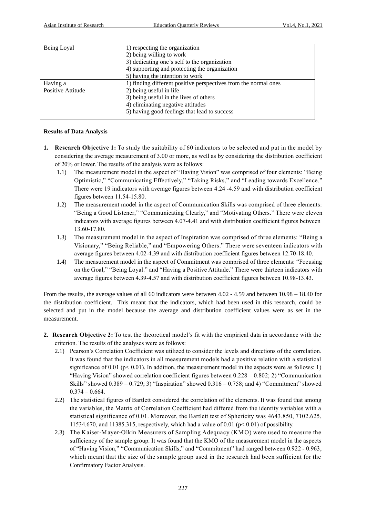| Being Loyal       | 1) respecting the organization                                  |
|-------------------|-----------------------------------------------------------------|
|                   | 2) being willing to work                                        |
|                   | 3) dedicating one's self to the organization                    |
|                   | 4) supporting and protecting the organization                   |
|                   | 5) having the intention to work                                 |
| Having a          | 1) finding different positive perspectives from the normal ones |
| Positive Attitude | 2) being useful in life                                         |
|                   | 3) being useful in the lives of others                          |
|                   | 4) eliminating negative attitudes                               |
|                   | 5) having good feelings that lead to success                    |
|                   |                                                                 |

#### **Results of Data Analysis**

- **1. Research Objective 1:** To study the suitability of 60 indicators to be selected and put in the model by considering the average measurement of 3.00 or more, as well as by considering the distribution coefficient of 20% or lower. The results of the analysis were as follows:
	- 1.1) The measurement model in the aspect of "Having Vision" was comprised of four elements: "Being Optimistic," "Communicating Effectively," "Taking Risks," and "Leading towards Excellence." There were 19 indicators with average figures between 4 .24 -4.59 and with distribution coefficient figures between 11.54-15.80.
	- 1.2) The measurement model in the aspect of Communication Skills was comprised of three elements: "Being a Good Listener," "Communicating Clearly," and "Motivating Others." There were eleven indicators with average figures between 4.07-4.41 and with distribution coefficient figures between 13.60-17.80.
	- 1.3) The measurement model in the aspect of Inspiration was comprised of three elements: "Being a Visionary," "Being Reliable," and "Empowering Others." There were seventeen indicators with average figures between 4.02-4.39 and with distribution coefficient figures between 12.70-18.40.
	- 1.4) The measurement model in the aspect of Commitment was comprised of three elements: "Focusing on the Goal," "Being Loyal." and "Having a Positive Attitude." There were thirteen indicators with average figures between 4.39-4.57 and with distribution coefficient figures between 10.98-13.43.

From the results, the average values of all 60 indicators were between 4.02 - 4.59 and between 10.98 – 18.40 for the distribution coefficient. This meant that the indicators, which had been used in this research, could be selected and put in the model because the average and distribution coefficient values were as set in the measurement.

- **2. Research Objective 2:** To test the theoretical model's fit with the empirical data in accordance with the criterion. The results of the analyses were as follows:
	- 2.1) Pearson's Correlation Coefficient was utilized to consider the levels and directions of the correlation. It was found that the indicators in all measurement models had a positive relation with a statistical significance of 0.01 ( $p < 0.01$ ). In addition, the measurement model in the aspects were as follows: 1) "Having Vision" showed correlation coefficient figures between  $0.228 - 0.802$ ; 2) "Communication Skills" showed  $0.389 - 0.729$ ; 3) "Inspiration" showed  $0.316 - 0.758$ ; and 4) "Commitment" showed  $0.374 - 0.664$ .
	- 2.2) The statistical figures of Bartlett considered the correlation of the elements. It was found that among the variables, the Matrix of Correlation Coefficient had differed from the identity variables with a statistical significance of 0.01. Moreover, the Bartlett test of Sphericity was 4643.850, 7102.625, 11534.670, and 11385.315, respectively, which had a value of 0.01 (p< 0.01) of possibility.
	- 2.3) The Kaiser-Mayer-Olkin Measurers of Sampling Adequacy (KMO) were used to measure the sufficiency of the sample group. It was found that the KMO of the measurement model in the aspects of "Having Vision," "Communication Skills," and "Commitment" had ranged between 0.922 - 0.963, which meant that the size of the sample group used in the research had been sufficient for the Confirmatory Factor Analysis.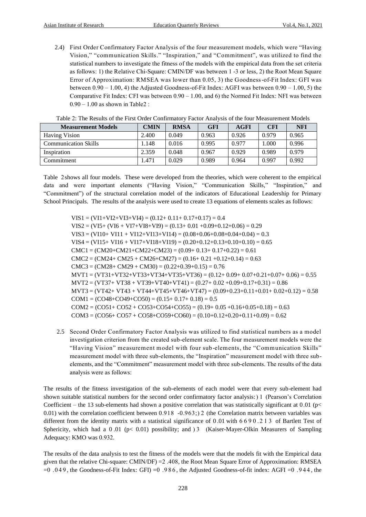2.4) First Order Confirmatory Factor Analysis of the four measurement models, which were "Having Vision," "communication Skills." "Inspiration," and "Commitment", was utilized to find the statistical numbers to investigate the fitness of the models with the empirical data from the set criteria as follows: 1) the Relative Chi-Square: CMIN/DF was between 1 -3 or less, 2) the Root Mean Square Error of Approximation: RMSEA was lower than 0.05, 3) the Goodness-of-Fit Index: GFI was between  $0.90 - 1.00$ , 4) the Adjusted Goodness-of-Fit Index: AGFI was between  $0.90 - 1.00$ , 5) the Comparative Fit Index: CFI was between 0.90 – 1.00, and 6) the Normed Fit Index: NFI was between  $0.90 - 1.00$  as shown in Table2 :

| <b>Measurement Models</b>   | <b>CMIN</b> | <b>RMSA</b> | <b>GFI</b> | <b>AGFI</b> | <b>CFI</b> | <b>NFI</b> |
|-----------------------------|-------------|-------------|------------|-------------|------------|------------|
| <b>Having Vision</b>        | 2.400       | 0.049       | 0.963      | 0.926       | 0.979      | 0.965      |
| <b>Communication Skills</b> | .148        | 0.016       | 0.995      | 0.977       | 1.000      | 0.996      |
| Inspiration                 | 2.359       | 0.048       | 0.967      | 0.929       | 0.989      | 0.979      |
| Commitment                  | .471        | 0.029       | 0.989      | 0.964       | 0.997      | 0.992      |

|  |  |  |  |  |  | Table 2: The Results of the First Order Confirmatory Factor Analysis of the four Measurement Models |  |  |  |  |  |  |
|--|--|--|--|--|--|-----------------------------------------------------------------------------------------------------|--|--|--|--|--|--|
|--|--|--|--|--|--|-----------------------------------------------------------------------------------------------------|--|--|--|--|--|--|

Table 2shows all four models. These were developed from the theories, which were coherent to the empirical data and were important elements ("Having Vision," "Communication Skills," "Inspiration," and "Commitment") of the structural correlation model of the indicators of Educational Leadership for Primary School Principals. The results of the analysis were used to create 13 equations of elements scales as follows:

 $VIS1 = (VI1 + VI2 + VI3 + VI4) = (0.12 + 0.11 + 0.17 + 0.17) = 0.4$  $VIS2 = (VI5 + (VI6 + VI7 + VI8 + VI9) = (0.13 + 0.01 + 0.09 + 0.12 + 0.06) = 0.29$  $VIS3 = (V110 + V111 + V112 + V113 + V114) = (0.08 + 0.06 + 0.08 + 0.04 + 0.04) = 0.3$  $VIS4 = (VII5 + VI16 + VI17 + VI18 + VI19) = (0.20 + 0.12 + 0.13 + 0.10 + 0.10) = 0.65$  $CMC1 = (CM20 + CM21 + CM22 + CM23) = (0.09 + 0.13 + 0.17 + 0.22) = 0.61$  $CMC2 = (CM24 + CM25 + CM26 + CM27) = (0.16 + 0.21 + 0.12 + 0.14) = 0.63$  $CMC3 = (CM28 + CM29 + CM30) = (0.22 + 0.39 + 0.15) = 0.76$  $MVT1 = (VT31+VT32+VT33+VT34+VT35+VT36) = (0.12+0.09+0.07+0.21+0.07+0.06) = 0.55$  $MVT2 = (VT37 + VT38 + VT39 + VT40 + VT41) = (0.27 + 0.02 + 0.09 + 0.17 + 0.31) = 0.86$  $MVT3 = (VT42+ VT43+ VT44+ VT45+ VT46+ VT47) = (0.09+0.23+0.11+0.01+0.02+0.12) = 0.58$  $COM1 = (CO48 + CO49 + CO50) = (0.15 + 0.17 + 0.18) = 0.5$  $COM2 = (CO51 + CO52 + CO53 + CO54 + CO55) = (0.19 + 0.05 + 0.16 + 0.05 + 0.18) = 0.63$  $COM3 = (CO56 + CO57 + CO58 + CO59 + CO60) = (0.10 + 0.12 + 0.20 + 0.11 + 0.09) = 0.62$ 

2.5 Second Order Confirmatory Factor Analysis was utilized to find statistical numbers as a model investigation criterion from the created sub-element scale. The four measurement models were the "Having Vision" measurement model with four sub -elements, the "Communication Skills" measurement model with three sub-elements, the "Inspiration" measurement model with three subelements, and the "Commitment" measurement model with three sub-elements. The results of the data analysis were as follows:

The results of the fitness investigation of the sub-elements of each model were that every sub-element had shown suitable statistical numbers for the second order confirmatory factor analysis:  $1$  (Pearson's Correlation Coefficient – the 13 sub-elements had shown a positive correlation that was statistically significant at 0.01 ( $p$  < 0.01) with the correlation coefficient between 0.918  $-0.963$ ; 2 (the Correlation matrix between variables was different from the identity matrix with a statistical significance of 0.01 with 6 6 9 0 .2 1 3 of Bartlett Test of Sphericity, which had a  $0.01$  (p< 0.01) possibility; and  $3$  (Kaiser-Mayer-Olkin Measurers of Sampling Adequacy: KMO was 0.932.

The results of the data analysis to test the fitness of the models were that the models fit with the Empirical data given that the relative Chi-square: CMIN/DF) =  $2.408$ , the Root Mean Square Error of Approximation: RMSEA  $=0.049$ , the Goodness-of-Fit Index: GFI)  $=0.986$ , the Adjusted Goodness-of-fit index: AGFI  $=0.944$ , the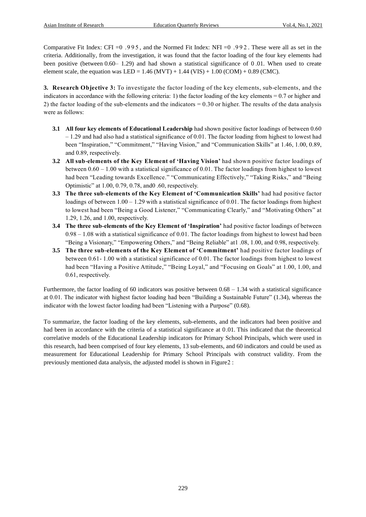Comparative Fit Index: CFI =0 .995 , and the Normed Fit Index: NFI =0 .992 . These were all as set in the criteria. Additionally, from the investigation, it was found that the factor loading of the four key elements had been positive (between 0.60– 1.29) and had shown a statistical significance of 0 .01. When used to create element scale, the equation was LED = 1.46 (MVT) + 1.44 (VIS) + 1.00 (COM) + 0.89 (CMC).

**3. Research Objective 3:** To investigate the factor loading of the key elements, sub-elements, and the indicators in accordance with the following criteria: 1) the factor loading of the key elements = 0.7 or higher and 2) the factor loading of the sub-elements and the indicators = 0.30 or higher. The results of the data analysis were as follows:

- **3.1 All four key elements of Educational Leadership** had shown positive factor loadings of between 0.60 – 1.29 and had also had a statistical significance of 0.01. The factor loading from highest to lowest had been "Inspiration," "Commitment," "Having Vision," and "Communication Skills" at 1.46, 1.00, 0.89, and 0.89, respectively.
- **3.2 All sub-elements of the Key Element of 'Having Vision'** had shown positive factor loadings of between  $0.60 - 1.00$  with a statistical significance of 0.01. The factor loadings from highest to lowest had been "Leading towards Excellence." "Communicating Effectively," "Taking Risks," and "Being Optimistic" at 1.00, 0.79, 0.78, and0 .60, respectively.
- **3.3 The three sub-elements of the Key Element of 'Communication Skills'** had had positive factor loadings of between  $1.00 - 1.29$  with a statistical significance of 0.01. The factor loadings from highest to lowest had been "Being a Good Listener," "Communicating Clearly," and "Motivating Others" at 1.29, 1.26, and 1.00, respectively.
- **3.4 The three sub-elements of the Key Element of 'Inspiration'** had positive factor loadings of between  $0.98 - 1.08$  with a statistical significance of 0.01. The factor loadings from highest to lowest had been "Being a Visionary," "Empowering Others," and "Being Reliable" at1 .08, 1.00, and 0.98, respectively.
- **3.5 The three sub-elements of the Key Element of 'Commitment'** had positive factor loadings of between 0.61- 1.00 with a statistical significance of 0.01. The factor loadings from highest to lowest had been "Having a Positive Attitude," "Being Loyal," and "Focusing on Goals" at 1.00, 1.00, and 0.61, respectively.

Furthermore, the factor loading of 60 indicators was positive between  $0.68 - 1.34$  with a statistical significance at 0 .01. The indicator with highest factor loading had been "Building a Sustainable Future" (1.34), whereas the indicator with the lowest factor loading had been "Listening with a Purpose" (0.68).

To summarize, the factor loading of the key elements, sub-elements, and the indicators had been positive and had been in accordance with the criteria of a statistical significance at 0.01. This indicated that the theoretical correlative models of the Educational Leadership indicators for Primary School Principals, which were used in this research, had been comprised of four key elements, 13 sub-elements, and 60 indicators and could be used as measurement for Educational Leadership for Primary School Principals with construct validity. From the previously mentioned data analysis, the adjusted model is shown in Figure2 :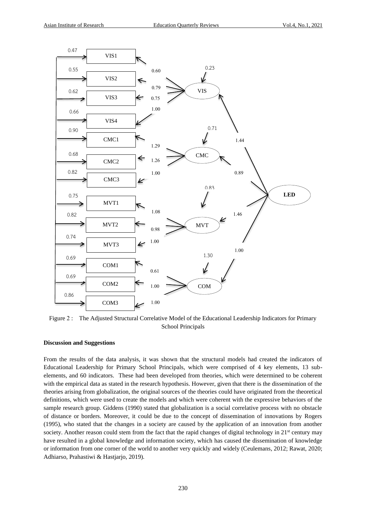

Figure 2 : The Adjusted Structural Correlative Model of the Educational Leadership Indicators for Primary School Principals

#### **Discussion and Suggestions**

From the results of the data analysis, it was shown that the structural models had created the indicators of Educational Leadership for Primary School Principals, which were comprised of 4 key elements, 13 subelements, and 60 indicators. These had been developed from theories, which were determined to be coherent with the empirical data as stated in the research hypothesis. However, given that there is the dissemination of the theories arising from globalization, the original sources of the theories could have originated from the theoretical definitions, which were used to create the models and which were coherent with the expressive behaviors of the sample research group. Giddens (1990) stated that globalization is a social correlative process with no obstacle of distance or borders. Moreover, it could be due to the concept of dissemination of innovations by Rogers (1995), who stated that the changes in a society are caused by the application of an innovation from another society. Another reason could stem from the fact that the rapid changes of digital technology in  $21<sup>st</sup>$  century may have resulted in a global knowledge and information society, which has caused the dissemination of knowledge or information from one corner of the world to another very quickly and widely (Ceulemans, 2012; Rawat, 2020; Adhiarso, Prahastiwi & Hastjarjo, 2019).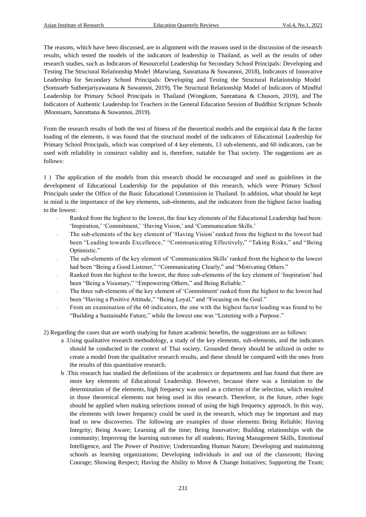The reasons, which have been discussed, are in alignment with the reasons used in the discussion of the research results, which tested the models of the indicators of leadership in Thailand, as well as the results of other research studies, such as Indicators of Resourceful Leadership for Secondary School Principals: Developing and Testing The Structural Relationship Model (Marwiang, Sanrattana & Suwannoi, 2018), Indicators of Innovative Leadership for Secondary School Principals: Developing and Testing the Structural Relationship Model (Somsueb, Sutheejariyawatana & Suwannoi, 2019), The Structural Relationship Model of Indicators of Mindful Leadership for Primary School Principals in Thailand (Wongkom, Sanrattana & Chusorn, 2019), and The Indicators of Authentic Leadership for Teachers in the General Education Session of Buddhist Scripture Schools (Moonsarn, Sanrattana & Suwannoi, 2019).

From the research results of both the test of fitness of the theoretical models and the empirical data & the factor loading of the elements, it was found that the structural model of the indicators of Educational Leadership for Primary School Principals, which was comprised of 4 key elements, 13 sub-elements, and 60 indicators, can be used with reliability in construct validity and is, therefore, suitable for Thai society. The suggestions are as follows:

1 ( The application of the models from this research should be encouraged and used as guidelines in the development of Educational Leadership for the population of this research, which were Primary School Principals under the Office of the Basic Educational Commission in Thailand. In addition, what should be kept in mind is the importance of the key elements, sub-elements, and the indicators from the highest factor loading to the lowest:

- Ranked from the highest to the lowest, the four key elements of the Educational Leadership had been: 'Inspiration,' 'Commitment,' 'Having Vision,' and 'Communication Skills.'
- The sub-elements of the key element of 'Having Vision' ranked from the highest to the lowest had been "Leading towards Excellence," "Communicating Effectively," "Taking Risks," and "Being Optimistic."
- The sub-elements of the key element of 'Communication Skills' ranked from the highest to the lowest had been "Being a Good Listener," "Communicating Clearly," and "Motivating Others."
- Ranked from the highest to the lowest, the three sub-elements of the key element of 'Inspiration' had been "Being a Visionary," "Empowering Others," and Being Reliable."
- The three sub-elements of the key element of 'Commitment' ranked from the highest to the lowest had been "Having a Positive Attitude," "Being Loyal," and "Focusing on the Goal."
- From an examination of the 60 indicators, the one with the highest factor loading was found to be "Building a Sustainable Future," while the lowest one was "Listening with a Purpose."
- 2) Regarding the cases that are worth studying for future academic benefits, the suggestions are as follows:
	- a .Using qualitative research methodology, a study of the key elements, sub-elements, and the indicators should be conducted in the context of Thai society. Grounded theory should be utilized in order to create a model from the qualitative research results, and these should be compared with the ones from the results of this quantitative research.
	- b .This research has studied the definitions of the academics or departments and has found that there are more key elements of Educational Leadership. However, because there was a limitation to the determination of the elements, high frequency was used as a criterion of the selection, which resulted in those theoretical elements not being used in this research. Therefore, in the future, other logic should be applied when making selections instead of using the high frequency approach. In this way, the elements with lower frequency could be used in the research, which may be important and may lead to new discoveries. The following are examples of those elements: Being Reliable; Having Integrity; Being Aware; Learning all the time; Being Innovative; Building relationships with the community; Improving the learning outcomes for all students; Having Management Skills, Emotional Intelligence, and The Power of Positive; Understanding Human Nature; Developing and maintaining schools as learning organizations; Developing individuals in and out of the classroom; Having Courage; Showing Respect; Having the Ability to Move & Change Initiatives; Supporting the Team;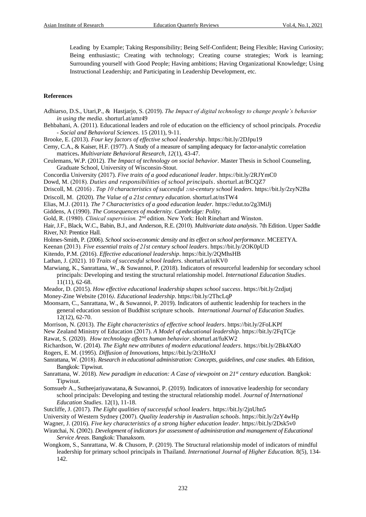Leading by Example; Taking Responsibility; Being Self-Confident; Being Flexible; Having Curiosity; Being enthusiastic; Creating with technology; Creating course strategies; Work is learning; Surrounding yourself with Good People; Having ambitions; Having Organizational Knowledge; Using Instructional Leadership; and Participating in Leadership Development, etc.

#### **References**

[Adhiarso,](https://www.researchgate.net/scientific-contributions/Dendy-Suseno-Adhiarso-2150445255) D.S.[, Utari,](https://www.researchgate.net/profile/Prahastiwi_Utari)P., & [Hastjarjo,](https://www.researchgate.net/scientific-contributions/Sri-Hastjarjo-2150609680) S. (2019). *The Impact of digital technology to change people's behavior in using the media*. shorturl.at/amr49

- [Behbahani,](https://www.sciencedirect.com/science/article/pii/S1877042811002199#!) A. (2011). Educational leaders and role of education on the efficiency of school principals. *[Procedia](https://www.sciencedirect.com/science/journal/18770428)  - [Social and Behavioral Sciences.](https://www.sciencedirect.com/science/journal/18770428)* [15](https://www.sciencedirect.com/science/journal/18770428/15/supp/C) (2011), 9-11.
- Brooke, E. (2013). *Four key factors of effective school leadership*[. https://bit.ly/2DJpu19](https://bit.ly/2DJpu19)

Cerny, C.A., & Kaiser, H.F. (1977). A Study of a measure of sampling adequacy for factor-analytic correlation matrices**.** *Multivariate Behavioral Research, 12*(1), 43-47.

- Ceulemans, W.P. (2012). *The Impact of technology on social behavior*. Master Thesis in School Counseling, Graduate School, University of Wisconsin-Stout.
- Concordia University (2017). *Five traits of a good educational leader*.<https://bit.ly/2RJYmC0>

Dowd, M. )2018(. *Duties and responsibilities of school principals*. shorturl.at/BCQZ7

Driscoll, M. )2016( . *Top 10 characteristics of successful 21st-century school leaders*[. https://bit.ly/2zyN2Ba](https://bit.ly/2zyN2Ba)

[Driscoll,](https://thinkstrategicforschools.com/author/maxine/) M. (2020). *The Value of a 21st century education*. shorturl.at/nsTW4

- Elias, M.J. (2011)*. The 7 Characteristics of a good education leader.* <https://edut.to/2g3MiJj>
- Giddens, A (1990). *The Consequences of modernity. Cambridge: Polity.*
- Gold, R. (1980). *Clinical supervision*. 2<sup>nd</sup> edition. New York: Holt Rinehart and Winston.

Hair, J.F., Black, W.C., Babin, B.J., and Anderson, R.E. (2010). *Multivariate data analysis*. 7th Edition. Upper Saddle River, NJ: Prentice Hall.

Holmes-Smith, P. (2006). *School socio-economic density and its effect on school performance*. MCEETYA.

Keenan (2013). *Five essential traits of 21st century school leaders*.<https://bit.ly/2OK0pUD>

Kitendo, P.M. (2016). *Effective educational leadership*[. https://bit.ly/2QMhsHB](https://bit.ly/2QMhsHB)

Lathan, J. (2021). 10 *Traits of successful school leaders*. shorturl.at/inKV0

Marwiang, K., Sanrattana, W., & Suwannoi, P. (2018). Indicators of resourceful leadership for secondary school principals: Developing and testing the structural relationship model. *International Education Studies*. 11(11), 62-68.

Meador, D. (2015). *How effective educational leadership shapes school success*.<https://bit.ly/2zdjutj>

Money-Zine Website (2016*). Educational leadership*.<https://bit.ly/2ThcLqP>

Moonsarn, C., Sanrattana, W., & Suwannoi, P. 2019). Indicators of authentic leadership for teachers in the general education session of Buddhist scripture schools. *[International Journal of Education Studies.](http://phd.mbuisc.ac.th/MBU%20Article/Chatchai.pdf)*  [12\(12\),](http://phd.mbuisc.ac.th/MBU%20Article/Chatchai.pdf) 62-70.

Morrison, N. (2013). *The Eight characteristics of effective school leaders*[. https://bit.ly/2FoLKPf](https://bit.ly/2FoLKPf)

New Zealand Ministry of Education (2017). A Model of educational leadership[. https://bit.ly/2FqTCje](https://bit.ly/2FqTCje)

[Rawat,](https://timesofindia.indiatimes.com/readersblog/lazytraveller/) S. (2020). *How technology affects human behavior*. shorturl.at/fuKW2

Richardson, W. (2014). *The Eight new attributes of modern educational leaders*[. https://bit.ly/2Bk4XdO](https://bit.ly/2Bk4XdO)

Rogers, E. M. (1995). *Diffusion of Innovations,* <https://bit.ly/2t3HoXJ>

- Sanrattana, W. (2018). Research in educational administration: Concepts, guidelines, and case studies. 4th Edition, Bangkok: Tipwisut.
- Sanrattana, W. 2018). *New paradigm in education: A Case of viewpoint on 21st century education.* Bangkok: Tipwisut.

Somsueb A., Sutheejariyawatana, & Suwannoi, P. (2019). Indicators of innovative leadership for secondary school principals: Developing and testing the structural relationship model. *Journal of [International](http://phd.mbuisc.ac.th/Dissertation%20MBU/aimchit.pdf)  [Education Studies](http://phd.mbuisc.ac.th/Dissertation%20MBU/aimchit.pdf)*. 12(1), 11-18.

Sutcliffe, J. (2017). *The Eight qualities of successful school leaders*.<https://bit.ly/2jnUhn5>

University of Western Sydney (2007(. *Quality leadership in Australian schools*[. https://bit.ly/2zY4wHp](https://bit.ly/2zY4wHp)

- Wagner, J. (2016). *Five key characteristics of a strong higher education leader*.<https://bit.ly/2Dsk5v0>
- Wiratchai, N. (2002). *Development of indicators for assessment of administration and management of Educational Service Areas*. Bangkok: Thanaksorn.
- Wongkom, S., Sanrattana, W. & Chusorn, P. (2019). The Structural relationship model of indicators of mindful leadership for primary school principals in Thailand. *International Journal of Higher Education.* 8(5), 134- 142.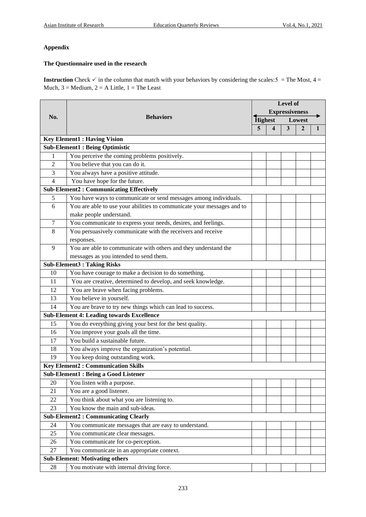### **Appendix**

## **The Questionnaire used in the research**

**Instruction** Check  $\checkmark$  in the column that match with your behaviors by considering the scales:  $5 =$ The Most,  $4 =$ Much,  $3 =$  Medium,  $2 =$  A Little,  $1 =$ The Least

|        |                                                                        | <b>Level of</b> |                         |                         |                |   |  |
|--------|------------------------------------------------------------------------|-----------------|-------------------------|-------------------------|----------------|---|--|
|        |                                                                        |                 | <b>Expressiveness</b>   |                         |                |   |  |
| No.    | <b>Behaviors</b>                                                       | <b>Highest</b>  |                         | Lowest                  |                |   |  |
|        |                                                                        | $\overline{5}$  | $\overline{\mathbf{4}}$ | $\overline{\mathbf{3}}$ | $\overline{2}$ | 1 |  |
|        | <b>Key Element1: Having Vision</b>                                     |                 |                         |                         |                |   |  |
|        | <b>Sub-Element1: Being Optimistic</b>                                  |                 |                         |                         |                |   |  |
| 1      | You perceive the coming problems positively.                           |                 |                         |                         |                |   |  |
| 2      | You believe that you can do it.                                        |                 |                         |                         |                |   |  |
| 3      | You always have a positive attitude.                                   |                 |                         |                         |                |   |  |
| 4      | You have hope for the future.                                          |                 |                         |                         |                |   |  |
|        | <b>Sub-Element2: Communicating Effectively</b>                         |                 |                         |                         |                |   |  |
| 5      | You have ways to communicate or send messages among individuals.       |                 |                         |                         |                |   |  |
| 6      | You are able to use your abilities to communicate your messages and to |                 |                         |                         |                |   |  |
|        | make people understand.                                                |                 |                         |                         |                |   |  |
| 7      | You communicate to express your needs, desires, and feelings.          |                 |                         |                         |                |   |  |
| 8      | You persuasively communicate with the receivers and receive            |                 |                         |                         |                |   |  |
|        | responses.                                                             |                 |                         |                         |                |   |  |
| 9      | You are able to communicate with others and they understand the        |                 |                         |                         |                |   |  |
|        | messages as you intended to send them.                                 |                 |                         |                         |                |   |  |
|        | <b>Sub-Element3: Taking Risks</b>                                      |                 |                         |                         |                |   |  |
| 10     | You have courage to make a decision to do something.                   |                 |                         |                         |                |   |  |
| 11     | You are creative, determined to develop, and seek knowledge.           |                 |                         |                         |                |   |  |
| 12     | You are brave when facing problems.                                    |                 |                         |                         |                |   |  |
| 13     | You believe in yourself.                                               |                 |                         |                         |                |   |  |
| 14     | You are brave to try new things which can lead to success.             |                 |                         |                         |                |   |  |
|        | <b>Sub-Element 4: Leading towards Excellence</b>                       |                 |                         |                         |                |   |  |
| 15     | You do everything giving your best for the best quality.               |                 |                         |                         |                |   |  |
| 16     | You improve your goals all the time.                                   |                 |                         |                         |                |   |  |
| 17     | You build a sustainable future.                                        |                 |                         |                         |                |   |  |
| 18     | You always improve the organization's potential.                       |                 |                         |                         |                |   |  |
| 19     | You keep doing outstanding work.                                       |                 |                         |                         |                |   |  |
|        | <b>Key Element2: Communication Skills</b>                              |                 |                         |                         |                |   |  |
|        | <b>Sub-Element1: Being a Good Listener</b>                             |                 |                         |                         |                |   |  |
| 20     | You listen with a purpose.                                             |                 |                         |                         |                |   |  |
| 21     | You are a good listener.                                               |                 |                         |                         |                |   |  |
| $22\,$ | You think about what you are listening to.                             |                 |                         |                         |                |   |  |
| 23     | You know the main and sub-ideas.                                       |                 |                         |                         |                |   |  |
|        | <b>Sub-Element2: Communicating Clearly</b>                             |                 |                         |                         |                |   |  |
| 24     | You communicate messages that are easy to understand.                  |                 |                         |                         |                |   |  |
| 25     | You communicate clear messages.                                        |                 |                         |                         |                |   |  |
| 26     | You communicate for co-perception.                                     |                 |                         |                         |                |   |  |
| 27     | You communicate in an appropriate context.                             |                 |                         |                         |                |   |  |
|        | <b>Sub-Element: Motivating others</b>                                  |                 |                         |                         |                |   |  |
| 28     | You motivate with internal driving force.                              |                 |                         |                         |                |   |  |